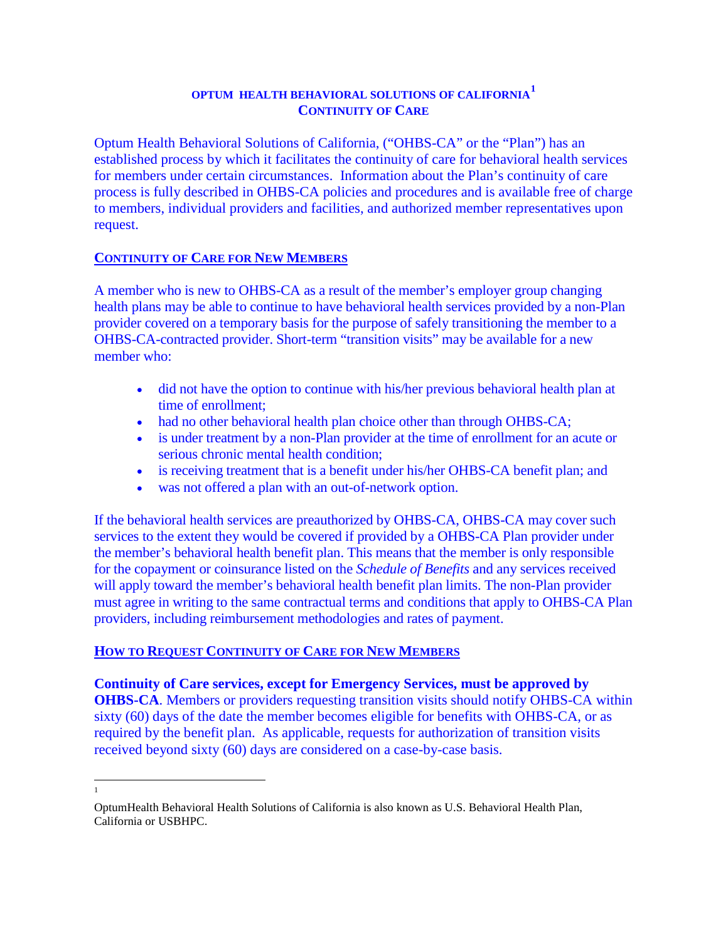# **OPTUM HEALTH BEHAVIORAL SOLUTIONS OF CALIFORNIA[1](#page-0-0) CONTINUITY OF CARE**

Optum Health Behavioral Solutions of California, ("OHBS-CA" or the "Plan") has an established process by which it facilitates the continuity of care for behavioral health services for members under certain circumstances. Information about the Plan's continuity of care process is fully described in OHBS-CA policies and procedures and is available free of charge to members, individual providers and facilities, and authorized member representatives upon request.

## **CONTINUITY OF CARE FOR NEW MEMBERS**

A member who is new to OHBS-CA as a result of the member's employer group changing health plans may be able to continue to have behavioral health services provided by a non-Plan provider covered on a temporary basis for the purpose of safely transitioning the member to a OHBS-CA-contracted provider. Short-term "transition visits" may be available for a new member who:

- did not have the option to continue with his/her previous behavioral health plan at time of enrollment;
- had no other behavioral health plan choice other than through OHBS-CA;
- is under treatment by a non-Plan provider at the time of enrollment for an acute or serious chronic mental health condition;
- is receiving treatment that is a benefit under his/her OHBS-CA benefit plan; and
- was not offered a plan with an out-of-network option.

If the behavioral health services are preauthorized by OHBS-CA, OHBS-CA may cover such services to the extent they would be covered if provided by a OHBS-CA Plan provider under the member's behavioral health benefit plan. This means that the member is only responsible for the copayment or coinsurance listed on the *Schedule of Benefits* and any services received will apply toward the member's behavioral health benefit plan limits. The non-Plan provider must agree in writing to the same contractual terms and conditions that apply to OHBS-CA Plan providers, including reimbursement methodologies and rates of payment.

## **HOW TO REQUEST CONTINUITY OF CARE FOR NEW MEMBERS**

**Continuity of Care services, except for Emergency Services, must be approved by OHBS-CA**. Members or providers requesting transition visits should notify OHBS-CA within sixty (60) days of the date the member becomes eligible for benefits with OHBS-CA, or as required by the benefit plan. As applicable, requests for authorization of transition visits received beyond sixty (60) days are considered on a case-by-case basis.

 $\frac{1}{1}$ 

<span id="page-0-0"></span>OptumHealth Behavioral Health Solutions of California is also known as U.S. Behavioral Health Plan, California or USBHPC.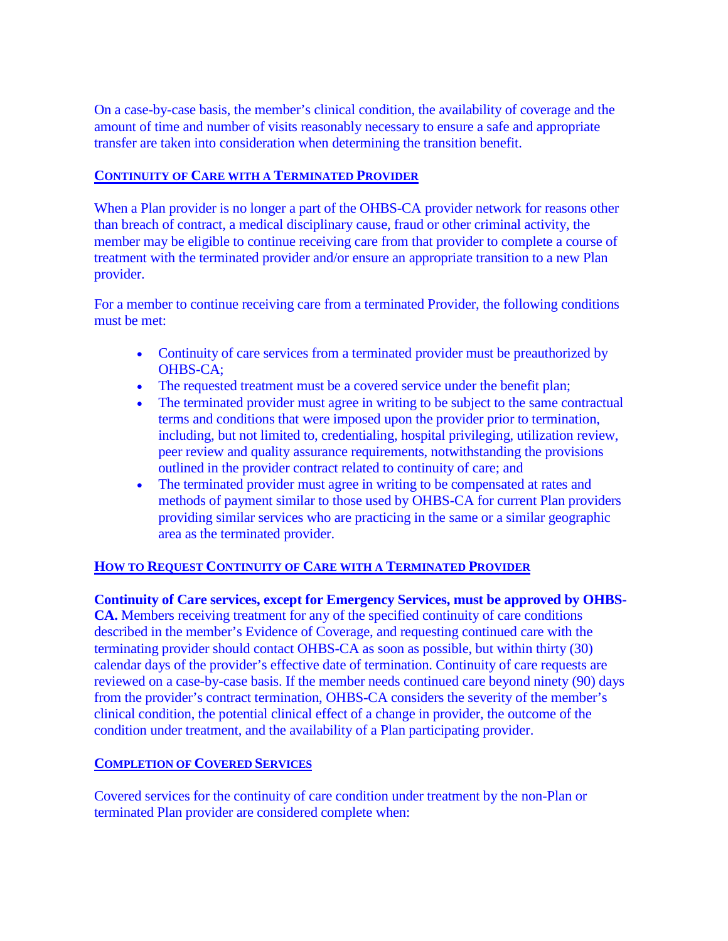On a case-by-case basis, the member's clinical condition, the availability of coverage and the amount of time and number of visits reasonably necessary to ensure a safe and appropriate transfer are taken into consideration when determining the transition benefit.

### **CONTINUITY OF CARE WITH A TERMINATED PROVIDER**

When a Plan provider is no longer a part of the OHBS-CA provider network for reasons other than breach of contract, a medical disciplinary cause, fraud or other criminal activity, the member may be eligible to continue receiving care from that provider to complete a course of treatment with the terminated provider and/or ensure an appropriate transition to a new Plan provider.

For a member to continue receiving care from a terminated Provider, the following conditions must be met:

- Continuity of care services from a terminated provider must be preauthorized by OHBS-CA;
- The requested treatment must be a covered service under the benefit plan;
- The terminated provider must agree in writing to be subject to the same contractual terms and conditions that were imposed upon the provider prior to termination, including, but not limited to, credentialing, hospital privileging, utilization review, peer review and quality assurance requirements, notwithstanding the provisions outlined in the provider contract related to continuity of care; and
- The terminated provider must agree in writing to be compensated at rates and methods of payment similar to those used by OHBS-CA for current Plan providers providing similar services who are practicing in the same or a similar geographic area as the terminated provider.

## **HOW TO REQUEST CONTINUITY OF CARE WITH A TERMINATED PROVIDER**

#### **Continuity of Care services, except for Emergency Services, must be approved by OHBS-**

**CA.** Members receiving treatment for any of the specified continuity of care conditions described in the member's Evidence of Coverage, and requesting continued care with the terminating provider should contact OHBS-CA as soon as possible, but within thirty (30) calendar days of the provider's effective date of termination. Continuity of care requests are reviewed on a case-by-case basis. If the member needs continued care beyond ninety (90) days from the provider's contract termination, OHBS-CA considers the severity of the member's clinical condition, the potential clinical effect of a change in provider, the outcome of the condition under treatment, and the availability of a Plan participating provider.

#### **COMPLETION OF COVERED SERVICES**

Covered services for the continuity of care condition under treatment by the non-Plan or terminated Plan provider are considered complete when: